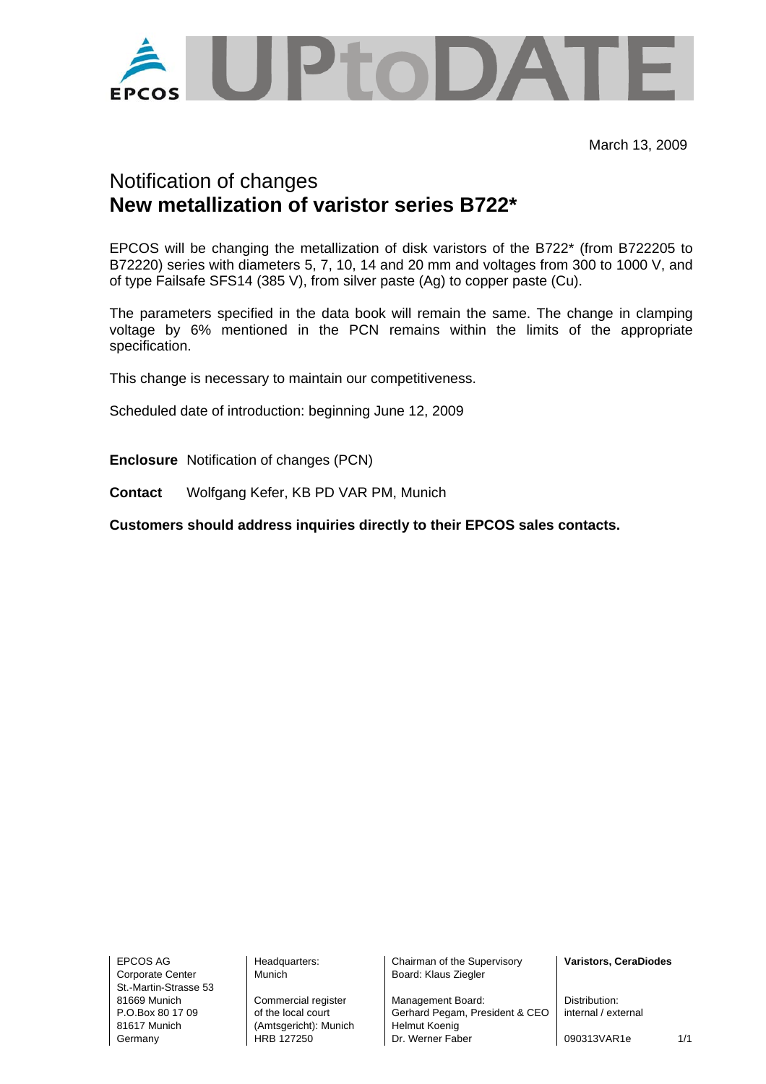

March 13, 2009

## Notification of changes **New metallization of varistor series B722\***

EPCOS will be changing the metallization of disk varistors of the B722\* (from B722205 to B72220) series with diameters 5, 7, 10, 14 and 20 mm and voltages from 300 to 1000 V, and of type Failsafe SFS14 (385 V), from silver paste (Ag) to copper paste (Cu).

The parameters specified in the data book will remain the same. The change in clamping voltage by 6% mentioned in the PCN remains within the limits of the appropriate specification.

This change is necessary to maintain our competitiveness.

Scheduled date of introduction: beginning June 12, 2009

**Enclosure** Notification of changes (PCN)

**Contact** Wolfgang Kefer, KB PD VAR PM, Munich

**Customers should address inquiries directly to their EPCOS sales contacts.** 

Corporate Center Munich Nunich Board: Klaus Ziegler St.-Martin-Strasse 53

81617 Munich (Amtsgericht): Munich Helmut Koenig

EPCOS AG Headquarters: Chairman of the Supervisory **Varistors, CeraDiodes** 

81669 Munich Commercial register Management Board: Distribution:<br>
P.O.Box 80.17.09 of the local court Gerhard Pegam, President & CFO internal / external of the local court **Gerhard Pegam, President & CEO** Germany **HRB 127250** Dr. Werner Faber 1090313VAR1e 1/1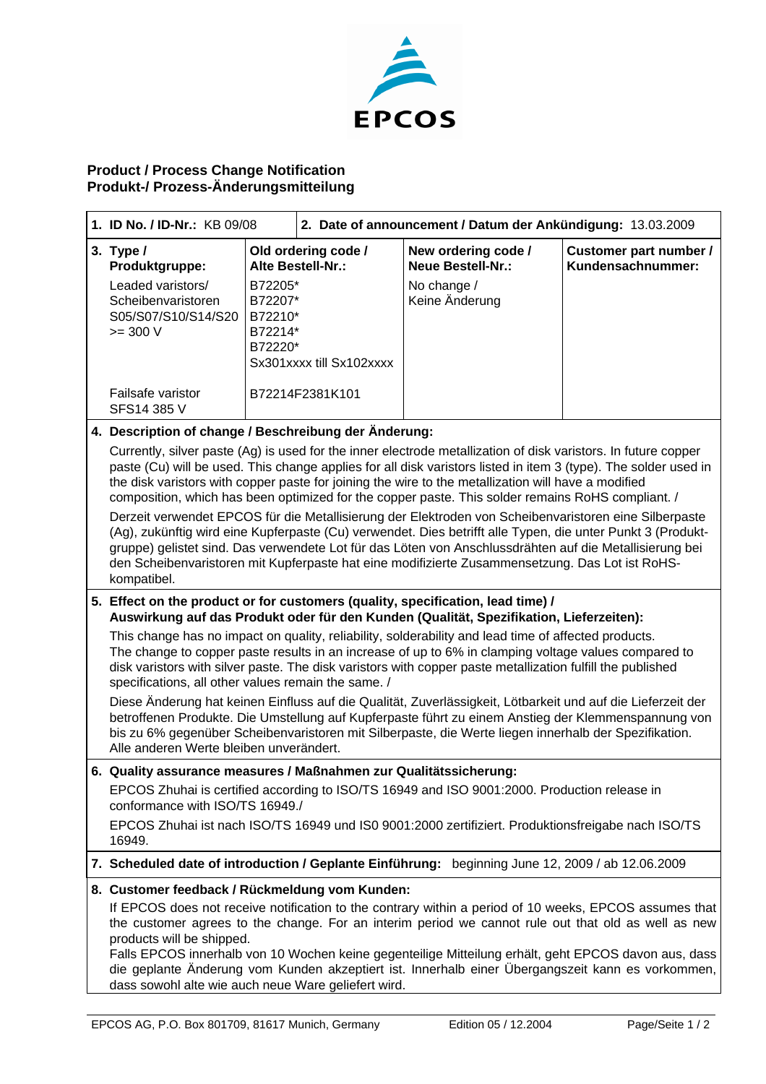

## **Product / Process Change Notification Produkt-/ Prozess-Änderungsmitteilung**

| 1. ID No. / ID-Nr.: KB 09/08                                                                                                                                                                                                                                                                                                                                                                                                                                                                                                                                                                                                                                                                                                                                                                                                                                                                                                                                |                                                     | 2. Date of announcement / Datum der Ankündigung: 13.03.2009          |                                                                                  |                                             |
|-------------------------------------------------------------------------------------------------------------------------------------------------------------------------------------------------------------------------------------------------------------------------------------------------------------------------------------------------------------------------------------------------------------------------------------------------------------------------------------------------------------------------------------------------------------------------------------------------------------------------------------------------------------------------------------------------------------------------------------------------------------------------------------------------------------------------------------------------------------------------------------------------------------------------------------------------------------|-----------------------------------------------------|----------------------------------------------------------------------|----------------------------------------------------------------------------------|---------------------------------------------|
| 3. Type $/$<br>Produktgruppe:<br>Leaded varistors/<br>Scheibenvaristoren<br>S05/S07/S10/S14/S20<br>$>= 300 V$                                                                                                                                                                                                                                                                                                                                                                                                                                                                                                                                                                                                                                                                                                                                                                                                                                               | B72205*<br>B72207*<br>B72210*<br>B72214*<br>B72220* | Old ordering code /<br>Alte Bestell-Nr.:<br>Sx301xxxx till Sx102xxxx | New ordering code /<br><b>Neue Bestell-Nr.:</b><br>No change /<br>Keine Änderung | Customer part number /<br>Kundensachnummer: |
| Failsafe varistor<br>SFS14 385 V                                                                                                                                                                                                                                                                                                                                                                                                                                                                                                                                                                                                                                                                                                                                                                                                                                                                                                                            |                                                     | B72214F2381K101                                                      |                                                                                  |                                             |
| 4. Description of change / Beschreibung der Änderung:<br>Currently, silver paste (Ag) is used for the inner electrode metallization of disk varistors. In future copper<br>paste (Cu) will be used. This change applies for all disk varistors listed in item 3 (type). The solder used in<br>the disk varistors with copper paste for joining the wire to the metallization will have a modified<br>composition, which has been optimized for the copper paste. This solder remains RoHS compliant. /<br>Derzeit verwendet EPCOS für die Metallisierung der Elektroden von Scheibenvaristoren eine Silberpaste<br>(Ag), zukünftig wird eine Kupferpaste (Cu) verwendet. Dies betrifft alle Typen, die unter Punkt 3 (Produkt-<br>gruppe) gelistet sind. Das verwendete Lot für das Löten von Anschlussdrähten auf die Metallisierung bei<br>den Scheibenvaristoren mit Kupferpaste hat eine modifizierte Zusammensetzung. Das Lot ist RoHS-<br>kompatibel. |                                                     |                                                                      |                                                                                  |                                             |
| 5. Effect on the product or for customers (quality, specification, lead time) /<br>Auswirkung auf das Produkt oder für den Kunden (Qualität, Spezifikation, Lieferzeiten):<br>This change has no impact on quality, reliability, solderability and lead time of affected products.<br>The change to copper paste results in an increase of up to 6% in clamping voltage values compared to                                                                                                                                                                                                                                                                                                                                                                                                                                                                                                                                                                  |                                                     |                                                                      |                                                                                  |                                             |
| disk varistors with silver paste. The disk varistors with copper paste metallization fulfill the published<br>specifications, all other values remain the same. /                                                                                                                                                                                                                                                                                                                                                                                                                                                                                                                                                                                                                                                                                                                                                                                           |                                                     |                                                                      |                                                                                  |                                             |
| Diese Änderung hat keinen Einfluss auf die Qualität, Zuverlässigkeit, Lötbarkeit und auf die Lieferzeit der<br>betroffenen Produkte. Die Umstellung auf Kupferpaste führt zu einem Anstieg der Klemmenspannung von<br>bis zu 6% gegenüber Scheibenvaristoren mit Silberpaste, die Werte liegen innerhalb der Spezifikation.<br>Alle anderen Werte bleiben unverändert.                                                                                                                                                                                                                                                                                                                                                                                                                                                                                                                                                                                      |                                                     |                                                                      |                                                                                  |                                             |
| 6. Quality assurance measures / Maßnahmen zur Qualitätssicherung:                                                                                                                                                                                                                                                                                                                                                                                                                                                                                                                                                                                                                                                                                                                                                                                                                                                                                           |                                                     |                                                                      |                                                                                  |                                             |
| EPCOS Zhuhai is certified according to ISO/TS 16949 and ISO 9001:2000. Production release in<br>conformance with ISO/TS 16949./<br>EPCOS Zhuhai ist nach ISO/TS 16949 und IS0 9001:2000 zertifiziert. Produktionsfreigabe nach ISO/TS                                                                                                                                                                                                                                                                                                                                                                                                                                                                                                                                                                                                                                                                                                                       |                                                     |                                                                      |                                                                                  |                                             |
| 16949.                                                                                                                                                                                                                                                                                                                                                                                                                                                                                                                                                                                                                                                                                                                                                                                                                                                                                                                                                      |                                                     |                                                                      |                                                                                  |                                             |
| 7. Scheduled date of introduction / Geplante Einführung: beginning June 12, 2009 / ab 12.06.2009                                                                                                                                                                                                                                                                                                                                                                                                                                                                                                                                                                                                                                                                                                                                                                                                                                                            |                                                     |                                                                      |                                                                                  |                                             |
| 8. Customer feedback / Rückmeldung vom Kunden:<br>If EPCOS does not receive notification to the contrary within a period of 10 weeks, EPCOS assumes that<br>the customer agrees to the change. For an interim period we cannot rule out that old as well as new<br>products will be shipped.<br>Falls EPCOS innerhalb von 10 Wochen keine gegenteilige Mitteilung erhält, geht EPCOS davon aus, dass                                                                                                                                                                                                                                                                                                                                                                                                                                                                                                                                                        |                                                     |                                                                      |                                                                                  |                                             |
| die geplante Änderung vom Kunden akzeptiert ist. Innerhalb einer Übergangszeit kann es vorkommen,<br>dass sowohl alte wie auch neue Ware geliefert wird.                                                                                                                                                                                                                                                                                                                                                                                                                                                                                                                                                                                                                                                                                                                                                                                                    |                                                     |                                                                      |                                                                                  |                                             |